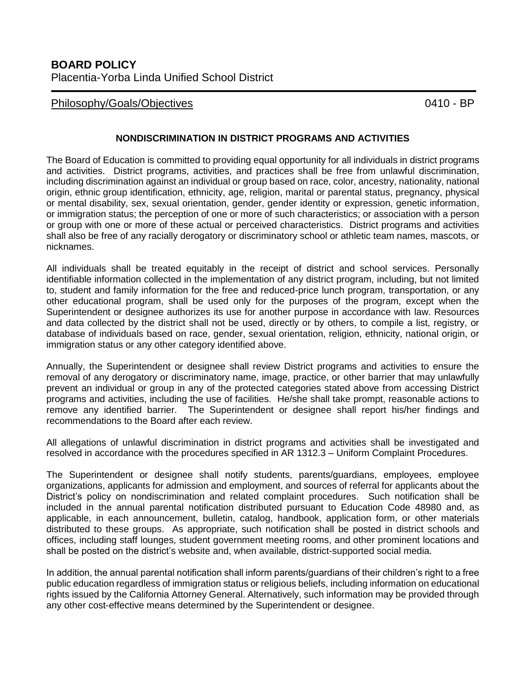## Philosophy/Goals/Objectives 2004 0410 - BP

## **NONDISCRIMINATION IN DISTRICT PROGRAMS AND ACTIVITIES**

The Board of Education is committed to providing equal opportunity for all individuals in district programs and activities. District programs, activities, and practices shall be free from unlawful discrimination, including discrimination against an individual or group based on race, color, ancestry, nationality, national origin, ethnic group identification, ethnicity, age, religion, marital or parental status, pregnancy, physical or mental disability, sex, sexual orientation, gender, gender identity or expression, genetic information, or immigration status; the perception of one or more of such characteristics; or association with a person or group with one or more of these actual or perceived characteristics. District programs and activities shall also be free of any racially derogatory or discriminatory school or athletic team names, mascots, or nicknames.

All individuals shall be treated equitably in the receipt of district and school services. Personally identifiable information collected in the implementation of any district program, including, but not limited to, student and family information for the free and reduced-price lunch program, transportation, or any other educational program, shall be used only for the purposes of the program, except when the Superintendent or designee authorizes its use for another purpose in accordance with law. Resources and data collected by the district shall not be used, directly or by others, to compile a list, registry, or database of individuals based on race, gender, sexual orientation, religion, ethnicity, national origin, or immigration status or any other category identified above.

Annually, the Superintendent or designee shall review District programs and activities to ensure the removal of any derogatory or discriminatory name, image, practice, or other barrier that may unlawfully prevent an individual or group in any of the protected categories stated above from accessing District programs and activities, including the use of facilities. He/she shall take prompt, reasonable actions to remove any identified barrier. The Superintendent or designee shall report his/her findings and recommendations to the Board after each review.

All allegations of unlawful discrimination in district programs and activities shall be investigated and resolved in accordance with the procedures specified in AR 1312.3 – Uniform Complaint Procedures.

The Superintendent or designee shall notify students, parents/guardians, employees, employee organizations, applicants for admission and employment, and sources of referral for applicants about the District's policy on nondiscrimination and related complaint procedures. Such notification shall be included in the annual parental notification distributed pursuant to Education Code 48980 and, as applicable, in each announcement, bulletin, catalog, handbook, application form, or other materials distributed to these groups. As appropriate, such notification shall be posted in district schools and offices, including staff lounges, student government meeting rooms, and other prominent locations and shall be posted on the district's website and, when available, district-supported social media.

In addition, the annual parental notification shall inform parents/guardians of their children's right to a free public education regardless of immigration status or religious beliefs, including information on educational rights issued by the California Attorney General. Alternatively, such information may be provided through any other cost-effective means determined by the Superintendent or designee.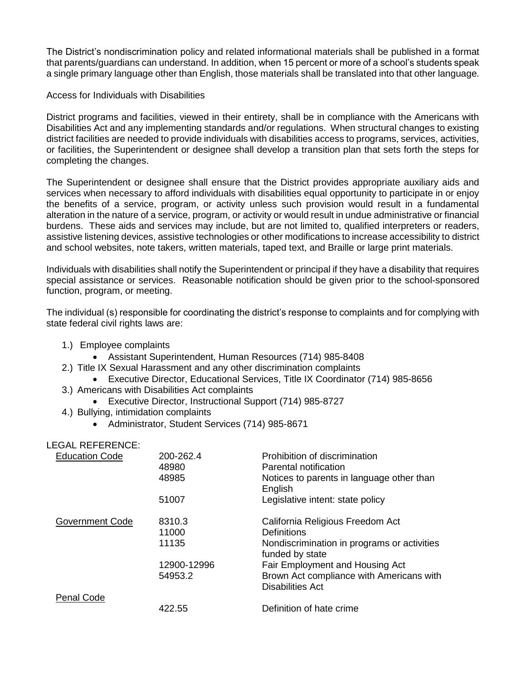The District's nondiscrimination policy and related informational materials shall be published in a format that parents/guardians can understand. In addition, when 15 percent or more of a school's students speak a single primary language other than English, those materials shall be translated into that other language.

## Access for Individuals with Disabilities

District programs and facilities, viewed in their entirety, shall be in compliance with the Americans with Disabilities Act and any implementing standards and/or regulations. When structural changes to existing district facilities are needed to provide individuals with disabilities access to programs, services, activities, or facilities, the Superintendent or designee shall develop a transition plan that sets forth the steps for completing the changes.

The Superintendent or designee shall ensure that the District provides appropriate auxiliary aids and services when necessary to afford individuals with disabilities equal opportunity to participate in or enjoy the benefits of a service, program, or activity unless such provision would result in a fundamental alteration in the nature of a service, program, or activity or would result in undue administrative or financial burdens. These aids and services may include, but are not limited to, qualified interpreters or readers, assistive listening devices, assistive technologies or other modifications to increase accessibility to district and school websites, note takers, written materials, taped text, and Braille or large print materials.

Individuals with disabilities shall notify the Superintendent or principal if they have a disability that requires special assistance or services. Reasonable notification should be given prior to the school-sponsored function, program, or meeting.

The individual (s) responsible for coordinating the district's response to complaints and for complying with state federal civil rights laws are:

- 1.) Employee complaints
	- Assistant Superintendent, Human Resources (714) 985-8408
- 2.) Title IX Sexual Harassment and any other discrimination complaints
	- Executive Director, Educational Services, Title IX Coordinator (714) 985-8656
- 3.) Americans with Disabilities Act complaints
	- Executive Director, Instructional Support (714) 985-8727
- 4.) Bullying, intimidation complaints
	- Administrator, Student Services (714) 985-8671

| <b>LEGAL REFERENCE:</b> |             |                                                                |
|-------------------------|-------------|----------------------------------------------------------------|
| <b>Education Code</b>   | 200-262.4   | Prohibition of discrimination                                  |
|                         | 48980       | Parental notification                                          |
|                         | 48985       | Notices to parents in language other than<br>English           |
|                         | 51007       | Legislative intent: state policy                               |
| <b>Government Code</b>  | 8310.3      | California Religious Freedom Act                               |
|                         | 11000       | <b>Definitions</b>                                             |
|                         | 11135       | Nondiscrimination in programs or activities<br>funded by state |
|                         | 12900-12996 | Fair Employment and Housing Act                                |
|                         | 54953.2     | Brown Act compliance with Americans with                       |
|                         |             | <b>Disabilities Act</b>                                        |
| <b>Penal Code</b>       |             |                                                                |
|                         | 422.55      | Definition of hate crime                                       |